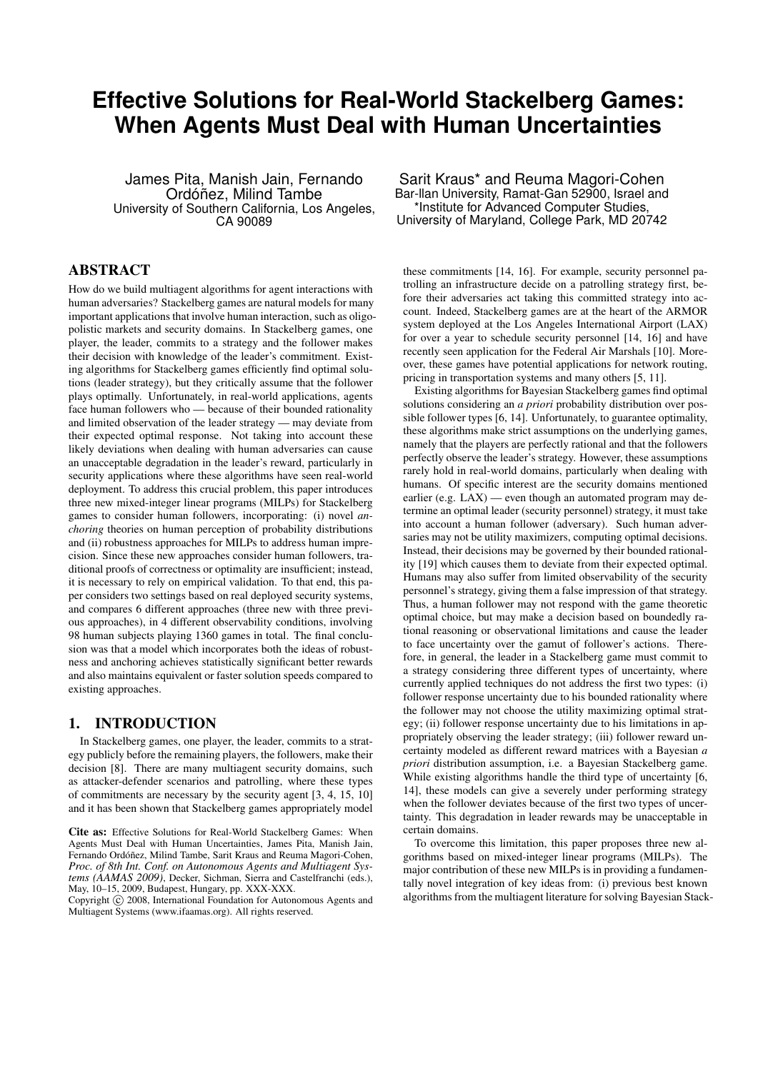# **Effective Solutions for Real-World Stackelberg Games: When Agents Must Deal with Human Uncertainties**

James Pita, Manish Jain, Fernando Ordóñez, Milind Tambe University of Southern California, Los Angeles, CA 90089

# ABSTRACT

How do we build multiagent algorithms for agent interactions with human adversaries? Stackelberg games are natural models for many important applications that involve human interaction, such as oligopolistic markets and security domains. In Stackelberg games, one player, the leader, commits to a strategy and the follower makes their decision with knowledge of the leader's commitment. Existing algorithms for Stackelberg games efficiently find optimal solutions (leader strategy), but they critically assume that the follower plays optimally. Unfortunately, in real-world applications, agents face human followers who — because of their bounded rationality and limited observation of the leader strategy — may deviate from their expected optimal response. Not taking into account these likely deviations when dealing with human adversaries can cause an unacceptable degradation in the leader's reward, particularly in security applications where these algorithms have seen real-world deployment. To address this crucial problem, this paper introduces three new mixed-integer linear programs (MILPs) for Stackelberg games to consider human followers, incorporating: (i) novel *anchoring* theories on human perception of probability distributions and (ii) robustness approaches for MILPs to address human imprecision. Since these new approaches consider human followers, traditional proofs of correctness or optimality are insufficient; instead, it is necessary to rely on empirical validation. To that end, this paper considers two settings based on real deployed security systems, and compares 6 different approaches (three new with three previous approaches), in 4 different observability conditions, involving 98 human subjects playing 1360 games in total. The final conclusion was that a model which incorporates both the ideas of robustness and anchoring achieves statistically significant better rewards and also maintains equivalent or faster solution speeds compared to existing approaches.

### 1. INTRODUCTION

In Stackelberg games, one player, the leader, commits to a strategy publicly before the remaining players, the followers, make their decision [8]. There are many multiagent security domains, such as attacker-defender scenarios and patrolling, where these types of commitments are necessary by the security agent [3, 4, 15, 10] and it has been shown that Stackelberg games appropriately model

Copyright  $\odot$  2008. International Foundation for Autonomous Agents and Multiagent Systems (www.ifaamas.org). All rights reserved.

Sarit Kraus\* and Reuma Magori-Cohen Bar-llan University, Ramat-Gan 52900, Israel and \*Institute for Advanced Computer Studies, University of Maryland, College Park, MD 20742

these commitments [14, 16]. For example, security personnel patrolling an infrastructure decide on a patrolling strategy first, before their adversaries act taking this committed strategy into account. Indeed, Stackelberg games are at the heart of the ARMOR system deployed at the Los Angeles International Airport (LAX) for over a year to schedule security personnel [14, 16] and have recently seen application for the Federal Air Marshals [10]. Moreover, these games have potential applications for network routing, pricing in transportation systems and many others [5, 11].

Existing algorithms for Bayesian Stackelberg games find optimal solutions considering an *a priori* probability distribution over possible follower types [6, 14]. Unfortunately, to guarantee optimality, these algorithms make strict assumptions on the underlying games, namely that the players are perfectly rational and that the followers perfectly observe the leader's strategy. However, these assumptions rarely hold in real-world domains, particularly when dealing with humans. Of specific interest are the security domains mentioned earlier (e.g. LAX) — even though an automated program may determine an optimal leader (security personnel) strategy, it must take into account a human follower (adversary). Such human adversaries may not be utility maximizers, computing optimal decisions. Instead, their decisions may be governed by their bounded rationality [19] which causes them to deviate from their expected optimal. Humans may also suffer from limited observability of the security personnel's strategy, giving them a false impression of that strategy. Thus, a human follower may not respond with the game theoretic optimal choice, but may make a decision based on boundedly rational reasoning or observational limitations and cause the leader to face uncertainty over the gamut of follower's actions. Therefore, in general, the leader in a Stackelberg game must commit to a strategy considering three different types of uncertainty, where currently applied techniques do not address the first two types: (i) follower response uncertainty due to his bounded rationality where the follower may not choose the utility maximizing optimal strategy; (ii) follower response uncertainty due to his limitations in appropriately observing the leader strategy; (iii) follower reward uncertainty modeled as different reward matrices with a Bayesian *a priori* distribution assumption, i.e. a Bayesian Stackelberg game. While existing algorithms handle the third type of uncertainty [6, 14], these models can give a severely under performing strategy when the follower deviates because of the first two types of uncertainty. This degradation in leader rewards may be unacceptable in certain domains.

To overcome this limitation, this paper proposes three new algorithms based on mixed-integer linear programs (MILPs). The major contribution of these new MILPs is in providing a fundamentally novel integration of key ideas from: (i) previous best known algorithms from the multiagent literature for solving Bayesian Stack-

Cite as: Effective Solutions for Real-World Stackelberg Games: When Agents Must Deal with Human Uncertainties, James Pita, Manish Jain, Fernando Ordóñez, Milind Tambe, Sarit Kraus and Reuma Magori-Cohen, *Proc. of 8th Int. Conf. on Autonomous Agents and Multiagent Systems (AAMAS 2009)*, Decker, Sichman, Sierra and Castelfranchi (eds.), May, 10–15, 2009, Budapest, Hungary, pp. XXX-XXX.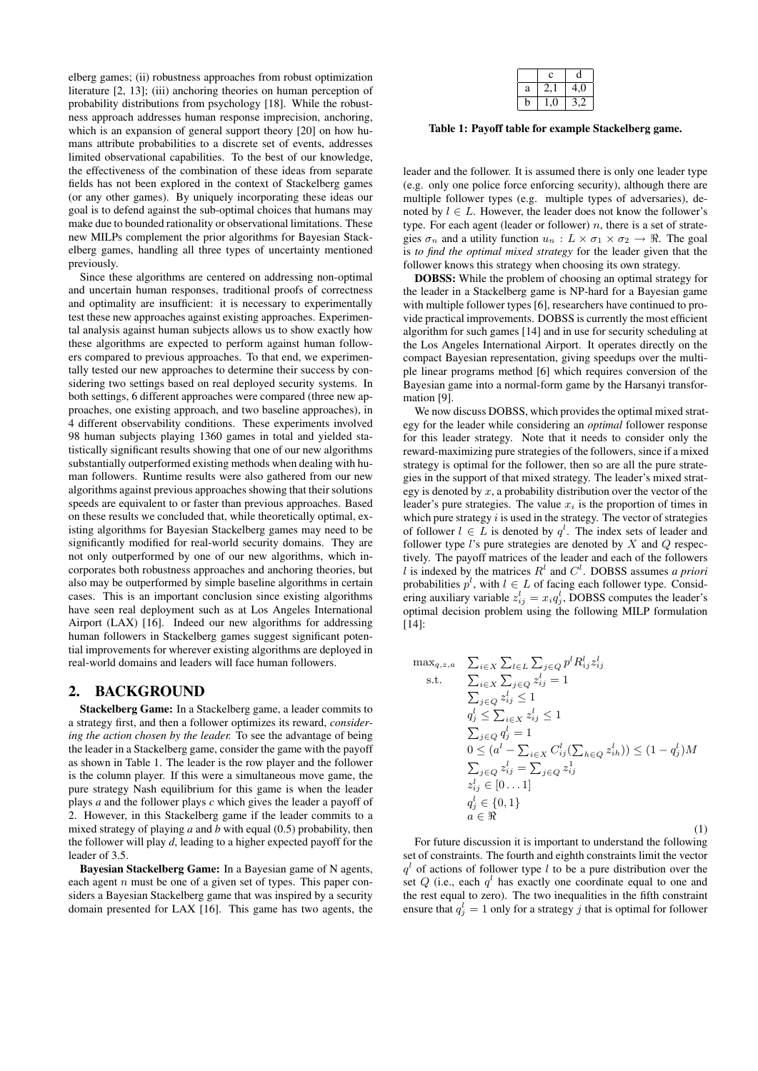elberg games; (ii) robustness approaches from robust optimization literature [2, 13]; (iii) anchoring theories on human perception of probability distributions from psychology [18]. While the robustness approach addresses human response imprecision, anchoring, which is an expansion of general support theory [20] on how humans attribute probabilities to a discrete set of events, addresses limited observational capabilities. To the best of our knowledge, the effectiveness of the combination of these ideas from separate fields has not been explored in the context of Stackelberg games (or any other games). By uniquely incorporating these ideas our goal is to defend against the sub-optimal choices that humans may make due to bounded rationality or observational limitations. These new MILPs complement the prior algorithms for Bayesian Stackelberg games, handling all three types of uncertainty mentioned previously.

Since these algorithms are centered on addressing non-optimal and uncertain human responses, traditional proofs of correctness and optimality are insufficient: it is necessary to experimentally test these new approaches against existing approaches. Experimental analysis against human subjects allows us to show exactly how these algorithms are expected to perform against human followers compared to previous approaches. To that end, we experimentally tested our new approaches to determine their success by considering two settings based on real deployed security systems. In both settings, 6 different approaches were compared (three new approaches, one existing approach, and two baseline approaches), in 4 different observability conditions. These experiments involved 98 human subjects playing 1360 games in total and yielded statistically significant results showing that one of our new algorithms substantially outperformed existing methods when dealing with human followers. Runtime results were also gathered from our new algorithms against previous approaches showing that their solutions speeds are equivalent to or faster than previous approaches. Based on these results we concluded that, while theoretically optimal, existing algorithms for Bayesian Stackelberg games may need to be significantly modified for real-world security domains. They are not only outperformed by one of our new algorithms, which incorporates both robustness approaches and anchoring theories, but also may be outperformed by simple baseline algorithms in certain cases. This is an important conclusion since existing algorithms have seen real deployment such as at Los Angeles International Airport (LAX) [16]. Indeed our new algorithms for addressing human followers in Stackelberg games suggest significant potential improvements for wherever existing algorithms are deployed in real-world domains and leaders will face human followers.

#### 2. BACKGROUND

Stackelberg Game: In a Stackelberg game, a leader commits to a strategy first, and then a follower optimizes its reward, *considering the action chosen by the leader.* To see the advantage of being the leader in a Stackelberg game, consider the game with the payoff as shown in Table 1. The leader is the row player and the follower is the column player. If this were a simultaneous move game, the pure strategy Nash equilibrium for this game is when the leader plays *a* and the follower plays *c* which gives the leader a payoff of 2. However, in this Stackelberg game if the leader commits to a mixed strategy of playing *a* and *b* with equal (0.5) probability, then the follower will play *d*, leading to a higher expected payoff for the leader of 3.5.

Bayesian Stackelberg Game: In a Bayesian game of N agents, each agent  $n$  must be one of a given set of types. This paper considers a Bayesian Stackelberg game that was inspired by a security domain presented for LAX [16]. This game has two agents, the

|   | с |     |
|---|---|-----|
| a |   | 4,0 |
| D |   |     |

Table 1: Payoff table for example Stackelberg game.

leader and the follower. It is assumed there is only one leader type (e.g. only one police force enforcing security), although there are multiple follower types (e.g. multiple types of adversaries), denoted by  $l \in L$ . However, the leader does not know the follower's type. For each agent (leader or follower)  $n$ , there is a set of strategies  $\sigma_n$  and a utility function  $u_n : L \times \sigma_1 \times \sigma_2 \rightarrow \Re$ . The goal is *to find the optimal mixed strategy* for the leader given that the follower knows this strategy when choosing its own strategy.

DOBSS: While the problem of choosing an optimal strategy for the leader in a Stackelberg game is NP-hard for a Bayesian game with multiple follower types [6], researchers have continued to provide practical improvements. DOBSS is currently the most efficient algorithm for such games [14] and in use for security scheduling at the Los Angeles International Airport. It operates directly on the compact Bayesian representation, giving speedups over the multiple linear programs method [6] which requires conversion of the Bayesian game into a normal-form game by the Harsanyi transformation [9].

We now discuss DOBSS, which provides the optimal mixed strategy for the leader while considering an *optimal* follower response for this leader strategy. Note that it needs to consider only the reward-maximizing pure strategies of the followers, since if a mixed strategy is optimal for the follower, then so are all the pure strategies in the support of that mixed strategy. The leader's mixed strategy is denoted by  $x$ , a probability distribution over the vector of the leader's pure strategies. The value  $x_i$  is the proportion of times in which pure strategy  $i$  is used in the strategy. The vector of strategies of follower  $l \in L$  is denoted by  $q^l$ . The index sets of leader and follower type  $l$ 's pure strategies are denoted by  $X$  and  $Q$  respectively. The payoff matrices of the leader and each of the followers l is indexed by the matrices  $R<sup>l</sup>$  and  $C<sup>l</sup>$ . DOBSS assumes *a priori* probabilities  $p^l$ , with  $l \in L$  of facing each follower type. Considering auxiliary variable  $z_{ij}^l = x_i q_j^l$ , DOBSS computes the leader's optimal decision problem using the following MILP formulation [14]:

$$
\max_{q,z,a} \sum_{i \in X} \sum_{l \in L} \sum_{j \in Q} p^{l} R_{ij}^{l} z_{ij}^{l}
$$
\ns.t. 
$$
\sum_{i \in X} \sum_{j \in Q} z_{ij}^{l} = 1
$$
\n
$$
\sum_{j \in Q} z_{ij}^{l} \le 1
$$
\n
$$
q_{j}^{l} \le \sum_{i \in X} z_{ij}^{l} \le 1
$$
\n
$$
\sum_{j \in Q} q_{j}^{l} = 1
$$
\n
$$
0 \le (a^{l} - \sum_{i \in X} C_{ij}^{l} (\sum_{h \in Q} z_{ih}^{l})) \le (1 - q_{j}^{l})M
$$
\n
$$
\sum_{j \in Q} z_{ij}^{l} = \sum_{j \in Q} z_{ij}^{1}
$$
\n
$$
z_{ij}^{l} \in [0...1]
$$
\n
$$
q_{j}^{l} \in \{0, 1\}
$$
\n
$$
a \in \Re
$$
\n(1)

For future discussion it is important to understand the following set of constraints. The fourth and eighth constraints limit the vector  $q<sup>l</sup>$  of actions of follower type l to be a pure distribution over the set Q (i.e., each  $q<sup>l</sup>$  has exactly one coordinate equal to one and the rest equal to zero). The two inequalities in the fifth constraint ensure that  $q_j^l = 1$  only for a strategy j that is optimal for follower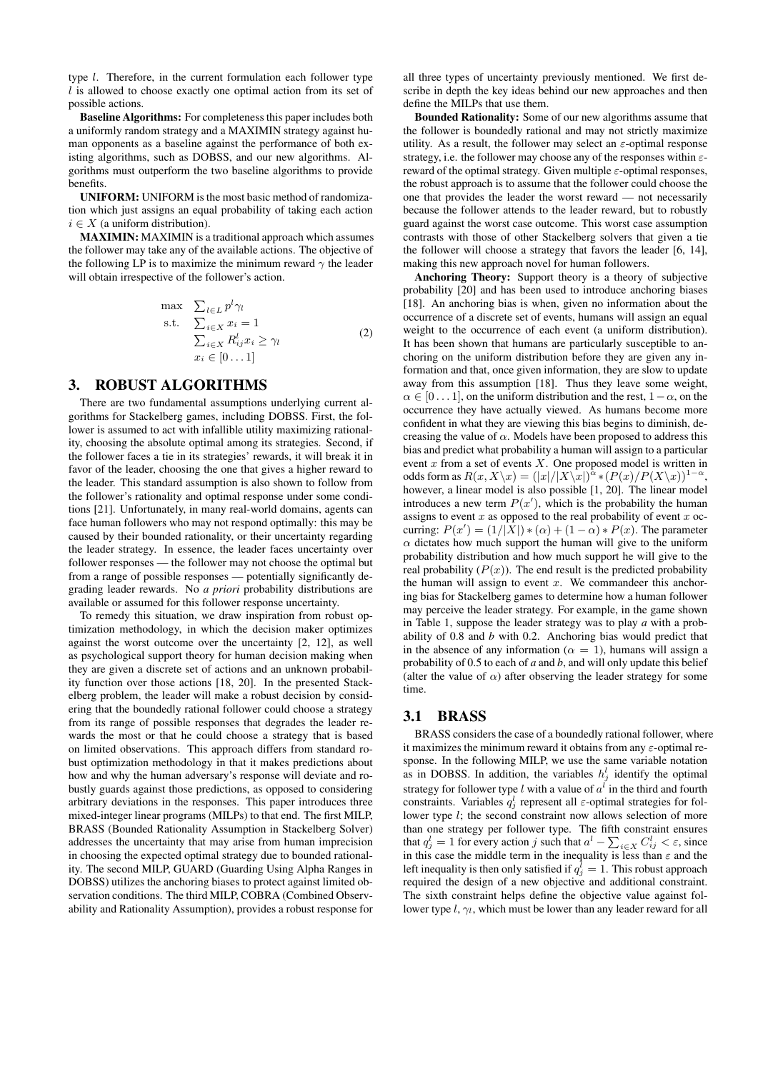type l. Therefore, in the current formulation each follower type  $l$  is allowed to choose exactly one optimal action from its set of possible actions.

Baseline Algorithms: For completeness this paper includes both a uniformly random strategy and a MAXIMIN strategy against human opponents as a baseline against the performance of both existing algorithms, such as DOBSS, and our new algorithms. Algorithms must outperform the two baseline algorithms to provide benefits.

UNIFORM: UNIFORM is the most basic method of randomization which just assigns an equal probability of taking each action  $i \in X$  (a uniform distribution).

MAXIMIN: MAXIMIN is a traditional approach which assumes the follower may take any of the available actions. The objective of the following LP is to maximize the minimum reward  $\gamma$  the leader will obtain irrespective of the follower's action.

$$
\max \sum_{l \in L} p^{l} \gamma_{l}
$$
\n
$$
\sum_{i \in X} x_{i} = 1
$$
\n
$$
\sum_{i \in X} R_{ij}^{l} x_{i} \ge \gamma_{l}
$$
\n
$$
x_{i} \in [0...1]
$$
\n
$$
(2)
$$

# 3. ROBUST ALGORITHMS

There are two fundamental assumptions underlying current algorithms for Stackelberg games, including DOBSS. First, the follower is assumed to act with infallible utility maximizing rationality, choosing the absolute optimal among its strategies. Second, if the follower faces a tie in its strategies' rewards, it will break it in favor of the leader, choosing the one that gives a higher reward to the leader. This standard assumption is also shown to follow from the follower's rationality and optimal response under some conditions [21]. Unfortunately, in many real-world domains, agents can face human followers who may not respond optimally: this may be caused by their bounded rationality, or their uncertainty regarding the leader strategy. In essence, the leader faces uncertainty over follower responses — the follower may not choose the optimal but from a range of possible responses — potentially significantly degrading leader rewards. No *a priori* probability distributions are available or assumed for this follower response uncertainty.

To remedy this situation, we draw inspiration from robust optimization methodology, in which the decision maker optimizes against the worst outcome over the uncertainty [2, 12], as well as psychological support theory for human decision making when they are given a discrete set of actions and an unknown probability function over those actions [18, 20]. In the presented Stackelberg problem, the leader will make a robust decision by considering that the boundedly rational follower could choose a strategy from its range of possible responses that degrades the leader rewards the most or that he could choose a strategy that is based on limited observations. This approach differs from standard robust optimization methodology in that it makes predictions about how and why the human adversary's response will deviate and robustly guards against those predictions, as opposed to considering arbitrary deviations in the responses. This paper introduces three mixed-integer linear programs (MILPs) to that end. The first MILP, BRASS (Bounded Rationality Assumption in Stackelberg Solver) addresses the uncertainty that may arise from human imprecision in choosing the expected optimal strategy due to bounded rationality. The second MILP, GUARD (Guarding Using Alpha Ranges in DOBSS) utilizes the anchoring biases to protect against limited observation conditions. The third MILP, COBRA (Combined Observability and Rationality Assumption), provides a robust response for

all three types of uncertainty previously mentioned. We first describe in depth the key ideas behind our new approaches and then define the MILPs that use them.

Bounded Rationality: Some of our new algorithms assume that the follower is boundedly rational and may not strictly maximize utility. As a result, the follower may select an  $\varepsilon$ -optimal response strategy, i.e. the follower may choose any of the responses within  $\varepsilon$ reward of the optimal strategy. Given multiple  $\varepsilon$ -optimal responses, the robust approach is to assume that the follower could choose the one that provides the leader the worst reward — not necessarily because the follower attends to the leader reward, but to robustly guard against the worst case outcome. This worst case assumption contrasts with those of other Stackelberg solvers that given a tie the follower will choose a strategy that favors the leader [6, 14], making this new approach novel for human followers.

Anchoring Theory: Support theory is a theory of subjective probability [20] and has been used to introduce anchoring biases [18]. An anchoring bias is when, given no information about the occurrence of a discrete set of events, humans will assign an equal weight to the occurrence of each event (a uniform distribution). It has been shown that humans are particularly susceptible to anchoring on the uniform distribution before they are given any information and that, once given information, they are slow to update away from this assumption [18]. Thus they leave some weight,  $\alpha \in [0 \dots 1]$ , on the uniform distribution and the rest,  $1 - \alpha$ , on the occurrence they have actually viewed. As humans become more confident in what they are viewing this bias begins to diminish, decreasing the value of  $\alpha$ . Models have been proposed to address this bias and predict what probability a human will assign to a particular event  $x$  from a set of events  $X$ . One proposed model is written in odds form as  $R(x, X \backslash x) = (|x|/|X \backslash x|)^{\alpha} * (P(x)/P(X \backslash x))^{1-\alpha},$ however, a linear model is also possible [1, 20]. The linear model introduces a new term  $P(x')$ , which is the probability the human assigns to event  $x$  as opposed to the real probability of event  $x$  occurring:  $P(x') = (1/|\overline{X}|) * (\alpha) + (1 - \alpha) * P(x)$ . The parameter  $\alpha$  dictates how much support the human will give to the uniform probability distribution and how much support he will give to the real probability  $(P(x))$ . The end result is the predicted probability the human will assign to event  $x$ . We commandeer this anchoring bias for Stackelberg games to determine how a human follower may perceive the leader strategy. For example, in the game shown in Table 1, suppose the leader strategy was to play *a* with a probability of 0.8 and *b* with 0.2. Anchoring bias would predict that in the absence of any information ( $\alpha = 1$ ), humans will assign a probability of 0.5 to each of *a* and *b*, and will only update this belief (alter the value of  $\alpha$ ) after observing the leader strategy for some time.

#### 3.1 BRASS

BRASS considers the case of a boundedly rational follower, where it maximizes the minimum reward it obtains from any  $\varepsilon$ -optimal response. In the following MILP, we use the same variable notation as in DOBSS. In addition, the variables  $h_j^l$  identify the optimal strategy for follower type  $l$  with a value of  $a<sup>l</sup>$  in the third and fourth constraints. Variables  $q_j^l$  represent all  $\varepsilon$ -optimal strategies for follower type *l*; the second constraint now allows selection of more than one strategy per follower type. The fifth constraint ensures that  $q_j^l = 1$  for every action j such that  $a^l - \sum_{i \in X} C_{ij}^l < \varepsilon$ , since in this case the middle term in the inequality is less than  $\varepsilon$  and the left inequality is then only satisfied if  $q_j^l = 1$ . This robust approach required the design of a new objective and additional constraint. The sixth constraint helps define the objective value against follower type  $l, \gamma_l$ , which must be lower than any leader reward for all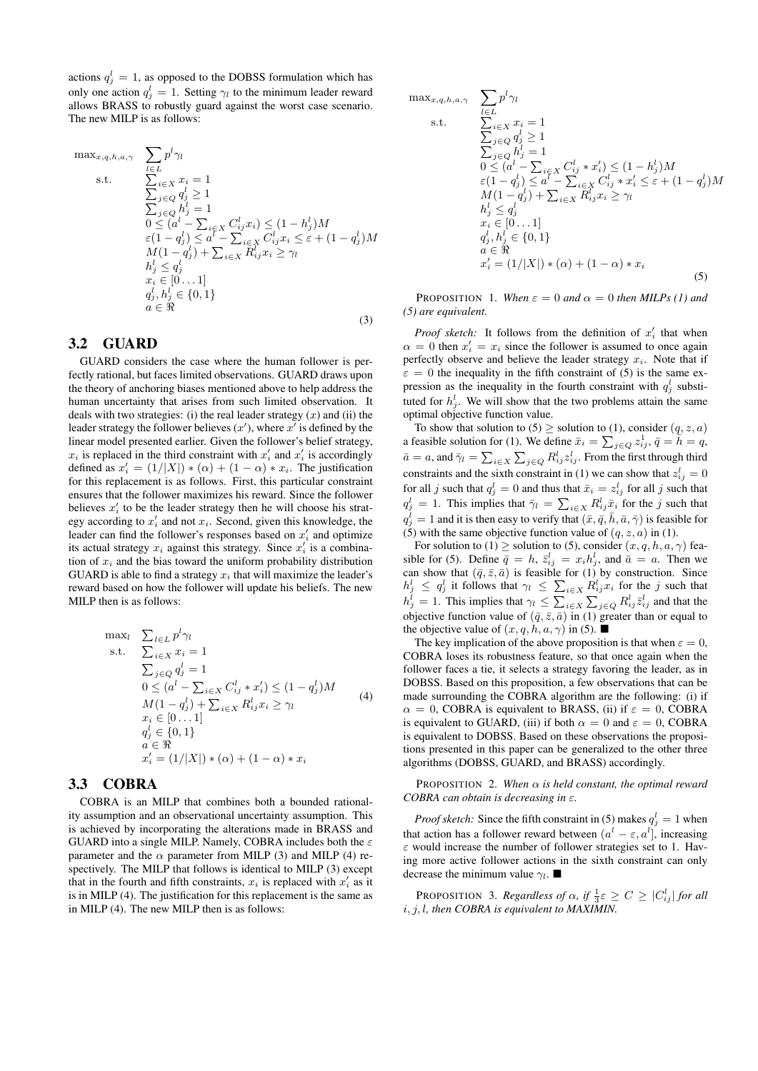actions  $q_j^l = 1$ , as opposed to the DOBSS formulation which has only one action  $q_j^l = 1$ . Setting  $\gamma_l$  to the minimum leader reward allows BRASS to robustly guard against the worst case scenario. The new MILP is as follows:

$$
\max_{x,q,h,a,\gamma} \sum_{l \in L} p^{l} \gamma_{l} \ns.t. \sum_{i \in X} x_{i} = 1 \sum_{j \in Q} q_{j}^{l} \ge 1 \n\sum_{j \in Q} h_{j}^{l} = 1 \n0 \le (a^{l} - \sum_{i \in X} C_{ij}^{l} x_{i}) \le (1 - h_{j}^{l}) M \n\varepsilon (1 - q_{j}^{l}) \le a^{l} - \sum_{i \in X} C_{ij}^{l} x_{i} \le \varepsilon + (1 - q_{j}^{l}) M \nM(1 - q_{j}^{l}) + \sum_{i \in X} R_{ij}^{l} x_{i} \ge \gamma_{l} \nh_{j}^{l} \le q_{j}^{l} \nx_{i} \in [0...1] \nq_{j}^{l}, h_{j}^{l} \in \{0, 1\}
$$
\n(3)

### 3.2 GUARD

GUARD considers the case where the human follower is perfectly rational, but faces limited observations. GUARD draws upon the theory of anchoring biases mentioned above to help address the human uncertainty that arises from such limited observation. It deals with two strategies: (i) the real leader strategy  $(x)$  and (ii) the leader strategy the follower believes  $(x')$ , where  $x'$  is defined by the linear model presented earlier. Given the follower's belief strategy,  $x_i$  is replaced in the third constraint with  $x'_i$  and  $x'_i$  is accordingly defined as  $x'_i = (1/|X|) * (\alpha) + (1 - \alpha) * x_i$ . The justification for this replacement is as follows. First, this particular constraint ensures that the follower maximizes his reward. Since the follower believes  $x_i'$  to be the leader strategy then he will choose his strategy according to  $x'_i$  and not  $x_i$ . Second, given this knowledge, the leader can find the follower's responses based on  $x_i'$  and optimize its actual strategy  $x_i$  against this strategy. Since  $x'_i$  is a combination of  $x_i$  and the bias toward the uniform probability distribution GUARD is able to find a strategy  $x_i$  that will maximize the leader's reward based on how the follower will update his beliefs. The new MILP then is as follows:

$$
\max_{l} \sum_{l \in L} p^{l} \gamma_{l} \ns.t. \sum_{i \in X} x_{i} = 1 \sum_{j \in Q} q_{j}^{l} = 1 \n0 \le (a^{l} - \sum_{i \in X} C_{ij}^{l} * x_{i}') \le (1 - q_{j}^{l})M \nM(1 - q_{j}^{l}) + \sum_{i \in X} R_{ij}^{l} x_{i} \ge \gamma_{l} \nx_{i} \in [0...1] \nq_{j}^{l} \in \{0, 1\} \na \in \Re \nx'_{i} = (1/|X|) * (\alpha) + (1 - \alpha) * x_{i}
$$
\n(4)

#### 3.3 COBRA

COBRA is an MILP that combines both a bounded rationality assumption and an observational uncertainty assumption. This is achieved by incorporating the alterations made in BRASS and GUARD into a single MILP. Namely, COBRA includes both the  $\varepsilon$ parameter and the  $\alpha$  parameter from MILP (3) and MILP (4) respectively. The MILP that follows is identical to MILP (3) except that in the fourth and fifth constraints,  $x_i$  is replaced with  $x'_i$  as it is in MILP (4). The justification for this replacement is the same as in MILP (4). The new MILP then is as follows:

$$
\max_{x,q,h,a,\gamma} \sum_{\substack{l \in L \\ \sum_{i \in X} x_i = 1}} p^l \gamma_l
$$
\n
$$
\sum_{j \in Q} d_j^l \ge 1
$$
\n
$$
\sum_{j \in Q} h_j^l = 1
$$
\n
$$
0 \le (a^l - \sum_{i \in X} C_{ij}^l * x_i') \le (1 - h_j^l) M
$$
\n
$$
\varepsilon (1 - q_j^l) \le a^l - \sum_{i \in X} C_{ij}^l * x_i' \le \varepsilon + (1 - q_j^l) M
$$
\n
$$
M(1 - q_j^l) + \sum_{i \in X} R_{ij}^l x_i \ge \gamma_l
$$
\n
$$
h_j^l \le q_j^l
$$
\n
$$
x_i \in [0...1]
$$
\n
$$
q_j^l, h_j^l \in \{0, 1\}
$$
\n
$$
a \in \Re
$$
\n
$$
x_i' = (1/|X|) * (\alpha) + (1 - \alpha) * x_i
$$
\n(5)

**PROPOSITION** 1. *When*  $\varepsilon = 0$  *and*  $\alpha = 0$  *then MILPs (1) and (5) are equivalent.*

*Proof sketch:* It follows from the definition of  $x_i'$  that when  $\alpha = 0$  then  $x'_i = x_i$  since the follower is assumed to once again perfectly observe and believe the leader strategy  $x_i$ . Note that if  $\varepsilon = 0$  the inequality in the fifth constraint of (5) is the same expression as the inequality in the fourth constraint with  $q_j^l$  substituted for  $h_j^l$ . We will show that the two problems attain the same optimal objective function value.

To show that solution to  $(5) \geq$  solution to  $(1)$ , consider  $(q, z, a)$ a feasible solution for (1). We define  $\bar{x}_i = \sum_{j \in Q} z_{ij}^1$ ,  $\bar{q} = \tilde{h} = \tilde{q}$ ,  $\bar{a} = a$ , and  $\bar{\gamma}_l = \sum_{i \in X} \sum_{j \in Q} R_{ij}^l z_{ij}^l$ . From the first through third constraints and the sixth constraint in (1) we can show that  $z_{ij}^l = 0$ for all j such that  $q_j^l = 0$  and thus that  $\bar{x}_i = z_{ij}^l$  for all j such that  $q_j^l = 1$ . This implies that  $\bar{\gamma}_l = \sum_{i \in X} R_{ij}^l \bar{x}_i$  for the j such that  $q_j^{\overline{l}} = 1$  and it is then easy to verify that  $(\bar{x}, \bar{q}, \bar{h}, \bar{a}, \bar{\gamma})$  is feasible for (5) with the same objective function value of  $(q, z, a)$  in (1).

For solution to (1)  $\geq$  solution to (5), consider  $(x, q, h, a, \gamma)$  feasible for (5). Define  $\bar{q} = h$ ,  $\bar{z}_{ij}^l = x_i h_j^l$ , and  $\bar{a} = a$ . Then we can show that  $(\bar{q}, \bar{z}, \bar{a})$  is feasible for (1) by construction. Since  $h_j^l \le q_j^l$  it follows that  $\gamma_l \le \sum_{i \in X} R_{ij}^l x_i$  for the j such that  $h_j^l = 1$ . This implies that  $\gamma_l \leq \sum_{i \in X} \sum_{j \in Q} R_{ij}^l \bar{z}_{ij}^l$  and that the objective function value of  $(\bar{q}, \bar{z}, \bar{a})$  in (1) greater than or equal to the objective value of  $(x, q, h, a, \gamma)$  in (5).

The key implication of the above proposition is that when  $\varepsilon = 0$ , COBRA loses its robustness feature, so that once again when the follower faces a tie, it selects a strategy favoring the leader, as in DOBSS. Based on this proposition, a few observations that can be made surrounding the COBRA algorithm are the following: (i) if  $\alpha = 0$ , COBRA is equivalent to BRASS, (ii) if  $\varepsilon = 0$ , COBRA is equivalent to GUARD, (iii) if both  $\alpha = 0$  and  $\varepsilon = 0$ , COBRA is equivalent to DOBSS. Based on these observations the propositions presented in this paper can be generalized to the other three algorithms (DOBSS, GUARD, and BRASS) accordingly.

PROPOSITION 2. *When* α *is held constant, the optimal reward COBRA can obtain is decreasing in* ε*.*

*Proof sketch:* Since the fifth constraint in (5) makes  $q_j^l = 1$  when that action has a follower reward between  $(a^{l} - \varepsilon, a^{l})$ , increasing  $\varepsilon$  would increase the number of follower strategies set to 1. Having more active follower actions in the sixth constraint can only decrease the minimum value  $\gamma_l$ .

PROPOSITION 3. *Regardless of*  $\alpha$ , if  $\frac{1}{3}\varepsilon \ge C \ge |C_{ij}^l|$  for all i, j, l*, then COBRA is equivalent to MAXIMIN.*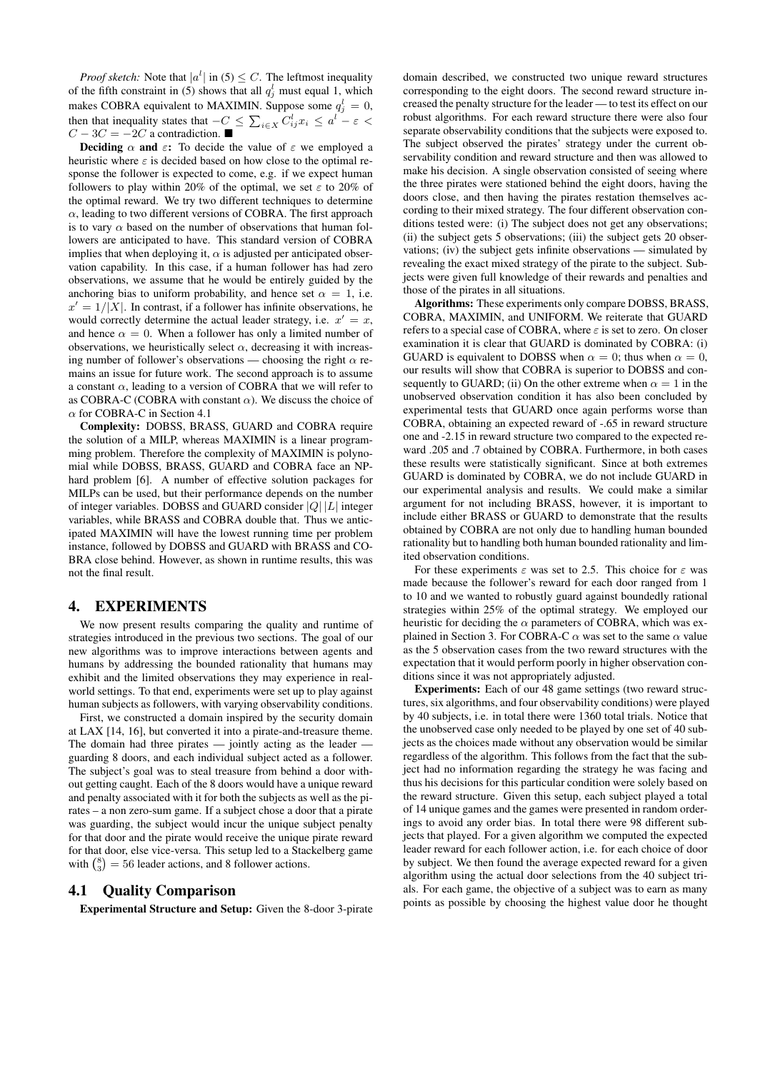*Proof sketch:* Note that  $|a^l|$  in (5)  $\leq C$ . The leftmost inequality of the fifth constraint in (5) shows that all  $q_j^l$  must equal 1, which makes COBRA equivalent to MAXIMIN. Suppose some  $q_j^l = 0$ , then that inequality states that  $-C \leq \sum_{i \in X} C_{ij}^{l} x_i \leq a^l - \varepsilon <$  $C - 3C = -2C$  a contradiction.

**Deciding**  $\alpha$  and  $\varepsilon$ : To decide the value of  $\varepsilon$  we employed a heuristic where  $\varepsilon$  is decided based on how close to the optimal response the follower is expected to come, e.g. if we expect human followers to play within 20% of the optimal, we set  $\varepsilon$  to 20% of the optimal reward. We try two different techniques to determine  $\alpha$ , leading to two different versions of COBRA. The first approach is to vary  $\alpha$  based on the number of observations that human followers are anticipated to have. This standard version of COBRA implies that when deploying it,  $\alpha$  is adjusted per anticipated observation capability. In this case, if a human follower has had zero observations, we assume that he would be entirely guided by the anchoring bias to uniform probability, and hence set  $\alpha = 1$ , i.e.  $x' = 1/|X|$ . In contrast, if a follower has infinite observations, he would correctly determine the actual leader strategy, i.e.  $x' = x$ , and hence  $\alpha = 0$ . When a follower has only a limited number of observations, we heuristically select  $\alpha$ , decreasing it with increasing number of follower's observations — choosing the right  $\alpha$  remains an issue for future work. The second approach is to assume a constant  $\alpha$ , leading to a version of COBRA that we will refer to as COBRA-C (COBRA with constant  $\alpha$ ). We discuss the choice of α for COBRA-C in Section 4.1

Complexity: DOBSS, BRASS, GUARD and COBRA require the solution of a MILP, whereas MAXIMIN is a linear programming problem. Therefore the complexity of MAXIMIN is polynomial while DOBSS, BRASS, GUARD and COBRA face an NPhard problem [6]. A number of effective solution packages for MILPs can be used, but their performance depends on the number of integer variables. DOBSS and GUARD consider  $|Q| |L|$  integer variables, while BRASS and COBRA double that. Thus we anticipated MAXIMIN will have the lowest running time per problem instance, followed by DOBSS and GUARD with BRASS and CO-BRA close behind. However, as shown in runtime results, this was not the final result.

#### 4. EXPERIMENTS

We now present results comparing the quality and runtime of strategies introduced in the previous two sections. The goal of our new algorithms was to improve interactions between agents and humans by addressing the bounded rationality that humans may exhibit and the limited observations they may experience in realworld settings. To that end, experiments were set up to play against human subjects as followers, with varying observability conditions.

First, we constructed a domain inspired by the security domain at LAX [14, 16], but converted it into a pirate-and-treasure theme. The domain had three pirates — jointly acting as the leader guarding 8 doors, and each individual subject acted as a follower. The subject's goal was to steal treasure from behind a door without getting caught. Each of the 8 doors would have a unique reward and penalty associated with it for both the subjects as well as the pirates – a non zero-sum game. If a subject chose a door that a pirate was guarding, the subject would incur the unique subject penalty for that door and the pirate would receive the unique pirate reward for that door, else vice-versa. This setup led to a Stackelberg game with  $\binom{8}{3} = 56$  leader actions, and 8 follower actions.

#### 4.1 Quality Comparison

Experimental Structure and Setup: Given the 8-door 3-pirate

domain described, we constructed two unique reward structures corresponding to the eight doors. The second reward structure increased the penalty structure for the leader — to test its effect on our robust algorithms. For each reward structure there were also four separate observability conditions that the subjects were exposed to. The subject observed the pirates' strategy under the current observability condition and reward structure and then was allowed to make his decision. A single observation consisted of seeing where the three pirates were stationed behind the eight doors, having the doors close, and then having the pirates restation themselves according to their mixed strategy. The four different observation conditions tested were: (i) The subject does not get any observations; (ii) the subject gets 5 observations; (iii) the subject gets 20 observations; (iv) the subject gets infinite observations — simulated by revealing the exact mixed strategy of the pirate to the subject. Subjects were given full knowledge of their rewards and penalties and those of the pirates in all situations.

Algorithms: These experiments only compare DOBSS, BRASS, COBRA, MAXIMIN, and UNIFORM. We reiterate that GUARD refers to a special case of COBRA, where  $\varepsilon$  is set to zero. On closer examination it is clear that GUARD is dominated by COBRA: (i) GUARD is equivalent to DOBSS when  $\alpha = 0$ ; thus when  $\alpha = 0$ . our results will show that COBRA is superior to DOBSS and consequently to GUARD; (ii) On the other extreme when  $\alpha = 1$  in the unobserved observation condition it has also been concluded by experimental tests that GUARD once again performs worse than COBRA, obtaining an expected reward of -.65 in reward structure one and -2.15 in reward structure two compared to the expected reward .205 and .7 obtained by COBRA. Furthermore, in both cases these results were statistically significant. Since at both extremes GUARD is dominated by COBRA, we do not include GUARD in our experimental analysis and results. We could make a similar argument for not including BRASS, however, it is important to include either BRASS or GUARD to demonstrate that the results obtained by COBRA are not only due to handling human bounded rationality but to handling both human bounded rationality and limited observation conditions.

For these experiments  $\varepsilon$  was set to 2.5. This choice for  $\varepsilon$  was made because the follower's reward for each door ranged from 1 to 10 and we wanted to robustly guard against boundedly rational strategies within 25% of the optimal strategy. We employed our heuristic for deciding the  $\alpha$  parameters of COBRA, which was explained in Section 3. For COBRA-C  $\alpha$  was set to the same  $\alpha$  value as the 5 observation cases from the two reward structures with the expectation that it would perform poorly in higher observation conditions since it was not appropriately adjusted.

Experiments: Each of our 48 game settings (two reward structures, six algorithms, and four observability conditions) were played by 40 subjects, i.e. in total there were 1360 total trials. Notice that the unobserved case only needed to be played by one set of 40 subjects as the choices made without any observation would be similar regardless of the algorithm. This follows from the fact that the subject had no information regarding the strategy he was facing and thus his decisions for this particular condition were solely based on the reward structure. Given this setup, each subject played a total of 14 unique games and the games were presented in random orderings to avoid any order bias. In total there were 98 different subjects that played. For a given algorithm we computed the expected leader reward for each follower action, i.e. for each choice of door by subject. We then found the average expected reward for a given algorithm using the actual door selections from the 40 subject trials. For each game, the objective of a subject was to earn as many points as possible by choosing the highest value door he thought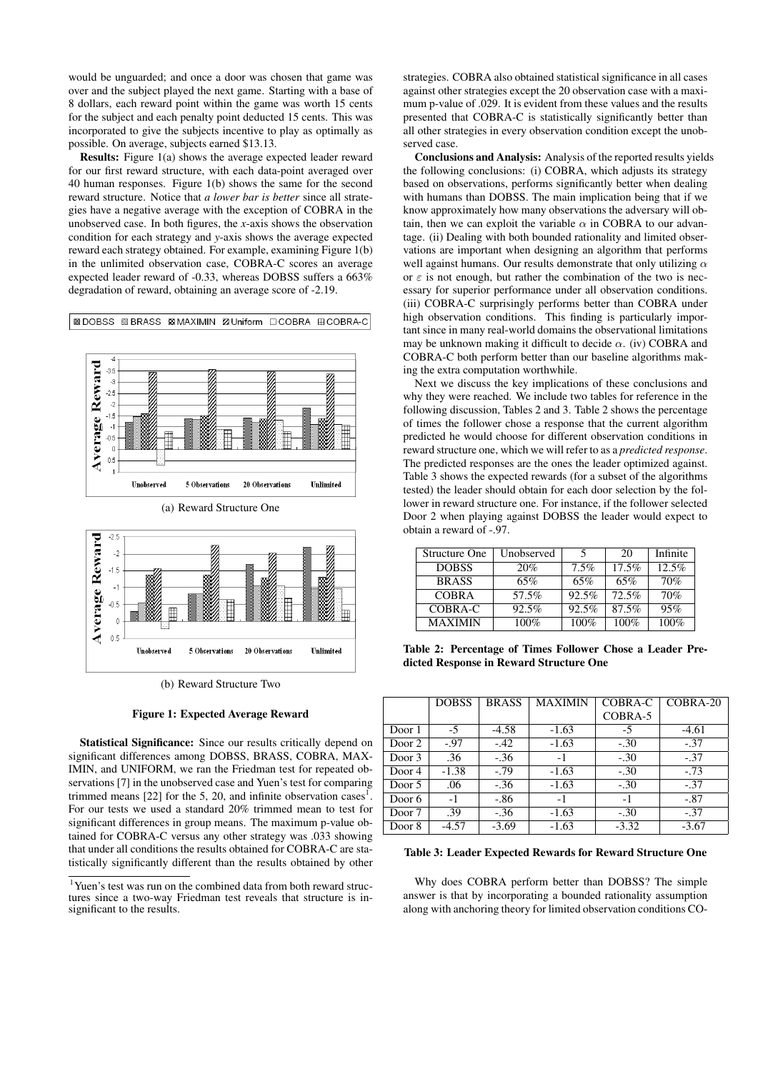would be unguarded; and once a door was chosen that game was over and the subject played the next game. Starting with a base of 8 dollars, each reward point within the game was worth 15 cents for the subject and each penalty point deducted 15 cents. This was incorporated to give the subjects incentive to play as optimally as possible. On average, subjects earned \$13.13.

Results: Figure 1(a) shows the average expected leader reward for our first reward structure, with each data-point averaged over 40 human responses. Figure 1(b) shows the same for the second reward structure. Notice that *a lower bar is better* since all strategies have a negative average with the exception of COBRA in the unobserved case. In both figures, the *x*-axis shows the observation condition for each strategy and *y*-axis shows the average expected reward each strategy obtained. For example, examining Figure 1(b) in the unlimited observation case, COBRA-C scores an average expected leader reward of -0.33, whereas DOBSS suffers a 663% degradation of reward, obtaining an average score of -2.19.

**■DOBSS 图BRASS MMAXIMIN ZUniform ECOBRA ECOBRA-C** 





(b) Reward Structure Two

#### Figure 1: Expected Average Reward

Statistical Significance: Since our results critically depend on significant differences among DOBSS, BRASS, COBRA, MAX-IMIN, and UNIFORM, we ran the Friedman test for repeated observations [7] in the unobserved case and Yuen's test for comparing trimmed means [22] for the 5, 20, and infinite observation cases<sup>1</sup>. For our tests we used a standard 20% trimmed mean to test for significant differences in group means. The maximum p-value obtained for COBRA-C versus any other strategy was .033 showing that under all conditions the results obtained for COBRA-C are statistically significantly different than the results obtained by other

strategies. COBRA also obtained statistical significance in all cases against other strategies except the 20 observation case with a maximum p-value of .029. It is evident from these values and the results presented that COBRA-C is statistically significantly better than all other strategies in every observation condition except the unobserved case.

Conclusions and Analysis: Analysis of the reported results yields the following conclusions: (i) COBRA, which adjusts its strategy based on observations, performs significantly better when dealing with humans than DOBSS. The main implication being that if we know approximately how many observations the adversary will obtain, then we can exploit the variable  $\alpha$  in COBRA to our advantage. (ii) Dealing with both bounded rationality and limited observations are important when designing an algorithm that performs well against humans. Our results demonstrate that only utilizing  $\alpha$ or  $\varepsilon$  is not enough, but rather the combination of the two is necessary for superior performance under all observation conditions. (iii) COBRA-C surprisingly performs better than COBRA under high observation conditions. This finding is particularly important since in many real-world domains the observational limitations may be unknown making it difficult to decide  $\alpha$ . (iv) COBRA and COBRA-C both perform better than our baseline algorithms making the extra computation worthwhile.

Next we discuss the key implications of these conclusions and why they were reached. We include two tables for reference in the following discussion, Tables 2 and 3. Table 2 shows the percentage of times the follower chose a response that the current algorithm predicted he would choose for different observation conditions in reward structure one, which we will refer to as a *predicted response*. The predicted responses are the ones the leader optimized against. Table 3 shows the expected rewards (for a subset of the algorithms tested) the leader should obtain for each door selection by the follower in reward structure one. For instance, if the follower selected Door 2 when playing against DOBSS the leader would expect to obtain a reward of -.97.

| Structure One  | Unobserved |         | 20      | Infinite |
|----------------|------------|---------|---------|----------|
| <b>DOBSS</b>   | 20%        | $7.5\%$ | 17.5%   | 12.5%    |
| <b>BRASS</b>   | 65%        | 65%     | 65%     | 70%      |
| <b>COBRA</b>   | 57.5%      | 92.5%   | 72.5%   | 70%      |
| COBRA-C        | 92.5%      | 92.5%   | 87.5%   | 95%      |
| <b>MAXIMIN</b> | $100\%$    | 100%    | $100\%$ | $100\%$  |

Table 2: Percentage of Times Follower Chose a Leader Predicted Response in Reward Structure One

|        | <b>DOBSS</b> | <b>BRASS</b> | <b>MAXIMIN</b> | COBRA-C | $CORRA-20$ |
|--------|--------------|--------------|----------------|---------|------------|
|        |              |              |                | COBRA-5 |            |
| Door 1 | $-5$         | $-4.58$      | $-1.63$        | $-5$    | $-4.61$    |
| Door 2 | $-97$        | $-.42$       | $-1.63$        | $-.30$  | $-.37$     |
| Door 3 | .36          | $-.36$       | -1             | $-.30$  | $-.37$     |
| Door 4 | $-1.38$      | $-.79$       | $-1.63$        | $-.30$  | $-.73$     |
| Door 5 | .06          | $-.36$       | $-1.63$        | $-.30$  | $-.37$     |
| Door 6 | $-1$         | $-.86$       | $-1$           | $-1$    | $-.87$     |
| Door 7 | .39          | $-.36$       | $-1.63$        | $-.30$  | $-.37$     |
| Door 8 | $-4.57$      | $-3.69$      | $-1.63$        | $-3.32$ | $-3.67$    |

#### Table 3: Leader Expected Rewards for Reward Structure One

Why does COBRA perform better than DOBSS? The simple answer is that by incorporating a bounded rationality assumption along with anchoring theory for limited observation conditions CO-

<sup>&</sup>lt;sup>1</sup>Yuen's test was run on the combined data from both reward structures since a two-way Friedman test reveals that structure is insignificant to the results.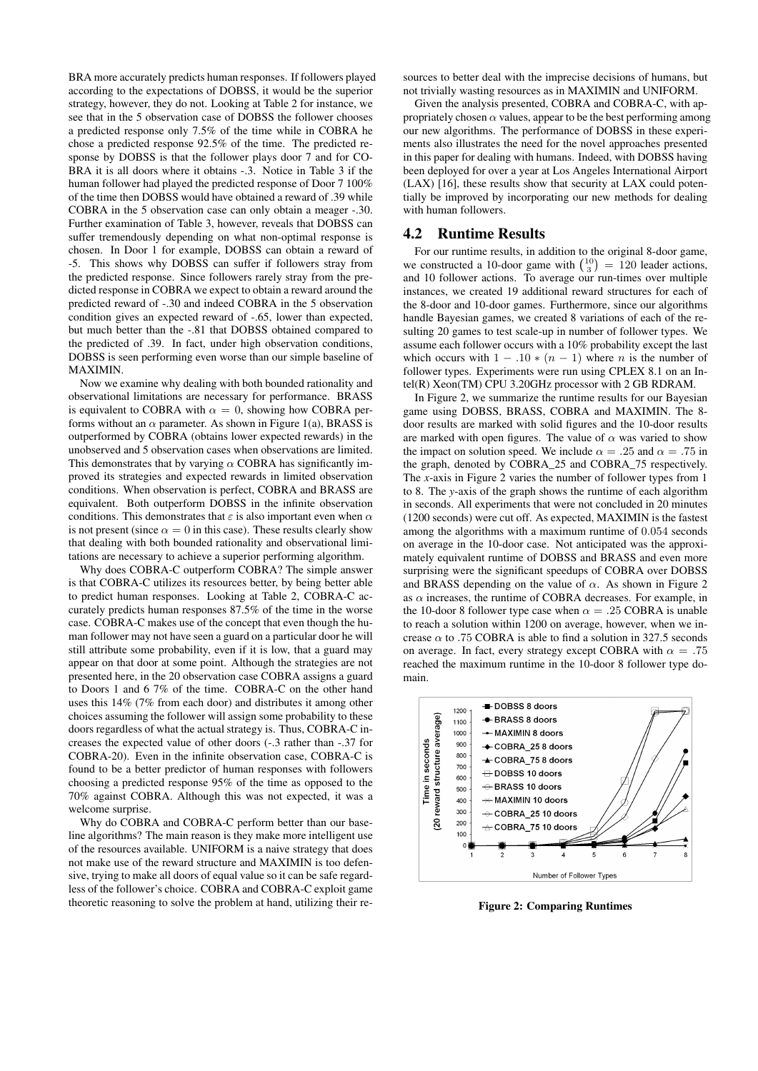BRA more accurately predicts human responses. If followers played according to the expectations of DOBSS, it would be the superior strategy, however, they do not. Looking at Table 2 for instance, we see that in the 5 observation case of DOBSS the follower chooses a predicted response only 7.5% of the time while in COBRA he chose a predicted response 92.5% of the time. The predicted response by DOBSS is that the follower plays door 7 and for CO-BRA it is all doors where it obtains -.3. Notice in Table 3 if the human follower had played the predicted response of Door 7 100% of the time then DOBSS would have obtained a reward of .39 while COBRA in the 5 observation case can only obtain a meager -.30. Further examination of Table 3, however, reveals that DOBSS can suffer tremendously depending on what non-optimal response is chosen. In Door 1 for example, DOBSS can obtain a reward of -5. This shows why DOBSS can suffer if followers stray from the predicted response. Since followers rarely stray from the predicted response in COBRA we expect to obtain a reward around the predicted reward of -.30 and indeed COBRA in the 5 observation condition gives an expected reward of -.65, lower than expected, but much better than the -.81 that DOBSS obtained compared to the predicted of .39. In fact, under high observation conditions, DOBSS is seen performing even worse than our simple baseline of MAXIMIN.

Now we examine why dealing with both bounded rationality and observational limitations are necessary for performance. BRASS is equivalent to COBRA with  $\alpha = 0$ , showing how COBRA performs without an  $\alpha$  parameter. As shown in Figure 1(a), BRASS is outperformed by COBRA (obtains lower expected rewards) in the unobserved and 5 observation cases when observations are limited. This demonstrates that by varying  $\alpha$  COBRA has significantly improved its strategies and expected rewards in limited observation conditions. When observation is perfect, COBRA and BRASS are equivalent. Both outperform DOBSS in the infinite observation conditions. This demonstrates that  $\varepsilon$  is also important even when  $\alpha$ is not present (since  $\alpha = 0$  in this case). These results clearly show that dealing with both bounded rationality and observational limitations are necessary to achieve a superior performing algorithm.

Why does COBRA-C outperform COBRA? The simple answer is that COBRA-C utilizes its resources better, by being better able to predict human responses. Looking at Table 2, COBRA-C accurately predicts human responses 87.5% of the time in the worse case. COBRA-C makes use of the concept that even though the human follower may not have seen a guard on a particular door he will still attribute some probability, even if it is low, that a guard may appear on that door at some point. Although the strategies are not presented here, in the 20 observation case COBRA assigns a guard to Doors 1 and 6 7% of the time. COBRA-C on the other hand uses this 14% (7% from each door) and distributes it among other choices assuming the follower will assign some probability to these doors regardless of what the actual strategy is. Thus, COBRA-C increases the expected value of other doors (-.3 rather than -.37 for COBRA-20). Even in the infinite observation case, COBRA-C is found to be a better predictor of human responses with followers choosing a predicted response 95% of the time as opposed to the 70% against COBRA. Although this was not expected, it was a welcome surprise.

Why do COBRA and COBRA-C perform better than our baseline algorithms? The main reason is they make more intelligent use of the resources available. UNIFORM is a naive strategy that does not make use of the reward structure and MAXIMIN is too defensive, trying to make all doors of equal value so it can be safe regardless of the follower's choice. COBRA and COBRA-C exploit game theoretic reasoning to solve the problem at hand, utilizing their re-

sources to better deal with the imprecise decisions of humans, but not trivially wasting resources as in MAXIMIN and UNIFORM.

Given the analysis presented, COBRA and COBRA-C, with appropriately chosen  $\alpha$  values, appear to be the best performing among our new algorithms. The performance of DOBSS in these experiments also illustrates the need for the novel approaches presented in this paper for dealing with humans. Indeed, with DOBSS having been deployed for over a year at Los Angeles International Airport (LAX) [16], these results show that security at LAX could potentially be improved by incorporating our new methods for dealing with human followers.

#### 4.2 Runtime Results

For our runtime results, in addition to the original 8-door game, we constructed a 10-door game with  $\binom{10}{3}$  = 120 leader actions, and 10 follower actions. To average our run-times over multiple instances, we created 19 additional reward structures for each of the 8-door and 10-door games. Furthermore, since our algorithms handle Bayesian games, we created 8 variations of each of the resulting 20 games to test scale-up in number of follower types. We assume each follower occurs with a 10% probability except the last which occurs with  $1 - .10 * (n - 1)$  where *n* is the number of follower types. Experiments were run using CPLEX 8.1 on an Intel(R) Xeon(TM) CPU 3.20GHz processor with 2 GB RDRAM.

In Figure 2, we summarize the runtime results for our Bayesian game using DOBSS, BRASS, COBRA and MAXIMIN. The 8 door results are marked with solid figures and the 10-door results are marked with open figures. The value of  $\alpha$  was varied to show the impact on solution speed. We include  $\alpha = .25$  and  $\alpha = .75$  in the graph, denoted by COBRA\_25 and COBRA\_75 respectively. The *x*-axis in Figure 2 varies the number of follower types from 1 to 8. The *y*-axis of the graph shows the runtime of each algorithm in seconds. All experiments that were not concluded in 20 minutes (1200 seconds) were cut off. As expected, MAXIMIN is the fastest among the algorithms with a maximum runtime of 0.054 seconds on average in the 10-door case. Not anticipated was the approximately equivalent runtime of DOBSS and BRASS and even more surprising were the significant speedups of COBRA over DOBSS and BRASS depending on the value of  $\alpha$ . As shown in Figure 2 as  $\alpha$  increases, the runtime of COBRA decreases. For example, in the 10-door 8 follower type case when  $\alpha = .25$  COBRA is unable to reach a solution within 1200 on average, however, when we increase  $\alpha$  to .75 COBRA is able to find a solution in 327.5 seconds on average. In fact, every strategy except COBRA with  $\alpha = .75$ reached the maximum runtime in the 10-door 8 follower type domain.



Figure 2: Comparing Runtimes